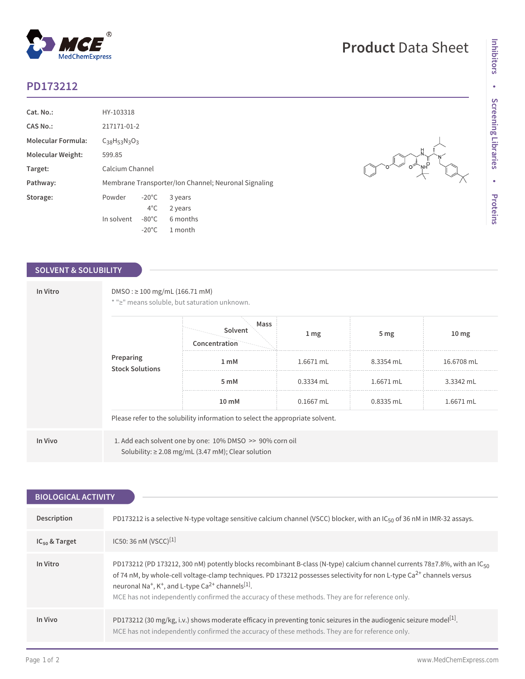## **PD173212**

 $^{\circledR}$ 

MedChemExpress

| Cat. No.:                 | HY-103318                                            |                 |          |  |  |
|---------------------------|------------------------------------------------------|-----------------|----------|--|--|
| <b>CAS No.:</b>           | 217171-01-2                                          |                 |          |  |  |
| <b>Molecular Formula:</b> | $C_{38}H_{53}N_{3}O_3$                               |                 |          |  |  |
| <b>Molecular Weight:</b>  | 599.85                                               |                 |          |  |  |
| Target:                   | Calcium Channel                                      |                 |          |  |  |
| Pathway:                  | Membrane Transporter/Ion Channel; Neuronal Signaling |                 |          |  |  |
| Storage:                  | Powder                                               | $-20^{\circ}$ C | 3 years  |  |  |
|                           |                                                      | $4^{\circ}$ C   | 2 years  |  |  |
|                           | In solvent                                           | $-80^{\circ}$ C | 6 months |  |  |
|                           |                                                      | $-20^{\circ}$ C | 1 month  |  |  |

## **SOLVENT & SOLUBILITY**

| In Vitro | $DMSO: \geq 100$ mg/mL (166.71 mM)<br>Preparing<br><b>Stock Solutions</b>     | * ">" means soluble, but saturation unknown.<br>Mass<br>Solvent<br>Concentration                                    | $1 \, \text{mg}$ | 5 <sub>mg</sub> | 10 <sub>mg</sub> |  |  |
|----------|-------------------------------------------------------------------------------|---------------------------------------------------------------------------------------------------------------------|------------------|-----------------|------------------|--|--|
|          |                                                                               | 1 <sub>m</sub> M                                                                                                    | 1.6671 mL        | 8.3354 mL       | 16.6708 mL       |  |  |
|          |                                                                               | 5 mM                                                                                                                | $0.3334$ mL      | 1.6671 mL       | 3.3342 mL        |  |  |
|          |                                                                               | 10 <sub>mm</sub>                                                                                                    | $0.1667$ mL      | $0.8335$ mL     | 1.6671 mL        |  |  |
|          | Please refer to the solubility information to select the appropriate solvent. |                                                                                                                     |                  |                 |                  |  |  |
| In Vivo  |                                                                               | 1. Add each solvent one by one: 10% DMSO >> 90% corn oil<br>Solubility: $\geq$ 2.08 mg/mL (3.47 mM); Clear solution |                  |                 |                  |  |  |

| <b>BIOLOGICAL ACTIVITY</b> |                                                                                                                                                                                                                                                                                                                                                                                                                                                                            |  |  |  |
|----------------------------|----------------------------------------------------------------------------------------------------------------------------------------------------------------------------------------------------------------------------------------------------------------------------------------------------------------------------------------------------------------------------------------------------------------------------------------------------------------------------|--|--|--|
|                            |                                                                                                                                                                                                                                                                                                                                                                                                                                                                            |  |  |  |
| Description                | PD173212 is a selective N-type voltage sensitive calcium channel (VSCC) blocker, with an IC <sub>50</sub> of 36 nM in IMR-32 assays.                                                                                                                                                                                                                                                                                                                                       |  |  |  |
| $IC_{50}$ & Target         | IC50: 36 nM (VSCC) <sup>[1]</sup>                                                                                                                                                                                                                                                                                                                                                                                                                                          |  |  |  |
| In Vitro                   | PD173212 (PD 173212, 300 nM) potently blocks recombinant B-class (N-type) calcium channel currents 78±7.8%, with an $IC_{50}$<br>of 74 nM, by whole-cell voltage-clamp techniques. PD 173212 possesses selectivity for non L-type Ca <sup>2+</sup> channels versus<br>neuronal Na <sup>+</sup> , K <sup>+</sup> , and L-type Ca <sup>2+</sup> channels <sup>[1]</sup> .<br>MCE has not independently confirmed the accuracy of these methods. They are for reference only. |  |  |  |
| In Vivo                    | PD173212 (30 mg/kg, i.v.) shows moderate efficacy in preventing tonic seizures in the audiogenic seizure model <sup>[1]</sup> .<br>MCE has not independently confirmed the accuracy of these methods. They are for reference only.                                                                                                                                                                                                                                         |  |  |  |

**Product** Data Sheet